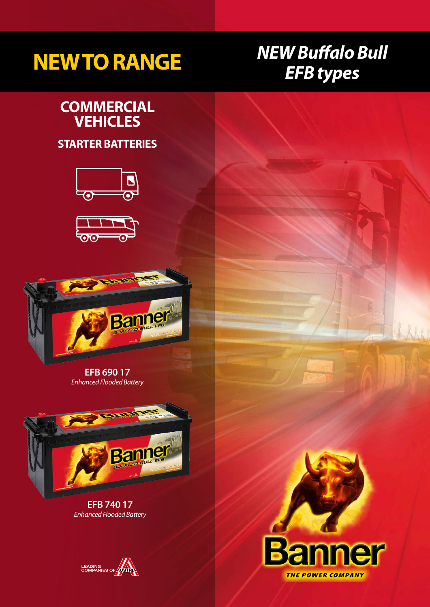# *EFB types* **NEW TO RANGE**

# *NEW Buffalo Bull*

### **COMMERCIAL VEHICLES**

#### **STARTER BATTERIES**







**EFB 690 17** *Enhanced Flooded Battery*



**EFB 740 17** *Enhanced Flooded Battery*